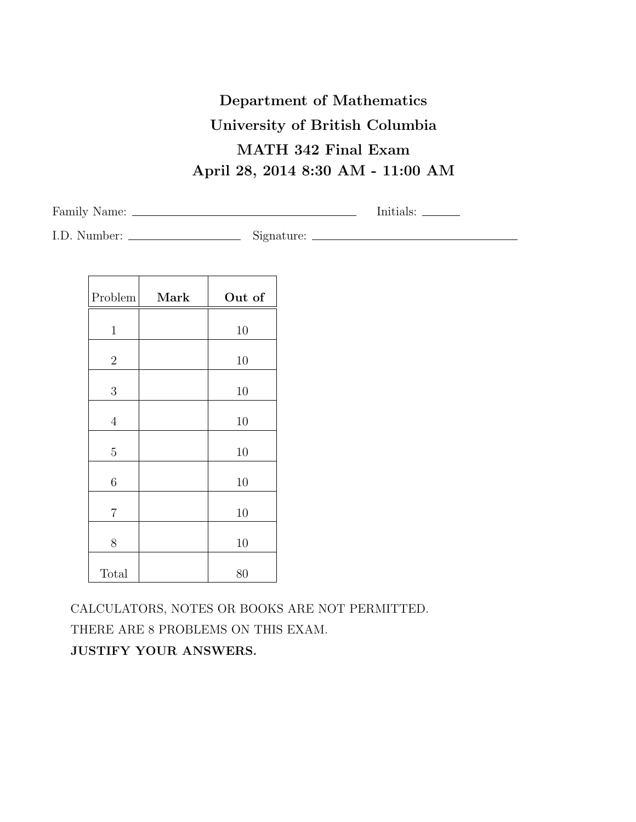## **Department of Mathematics University of British Columbia MATH 342 Final Exam April 28, 2014 8:30 AM - 11:00 AM**

Family Name: Initials:

I.D. Number: Signature:

| Mark | Out of |
|------|--------|
|      | 10     |
|      | 10     |
|      | 10     |
|      | 10     |
|      | 10     |
|      | 10     |
|      | 10     |
|      | 10     |
|      | 80     |
|      |        |

CALCULATORS, NOTES OR BOOKS ARE NOT PERMITTED. THERE ARE 8 PROBLEMS ON THIS EXAM. **JUSTIFY YOUR ANSWERS.**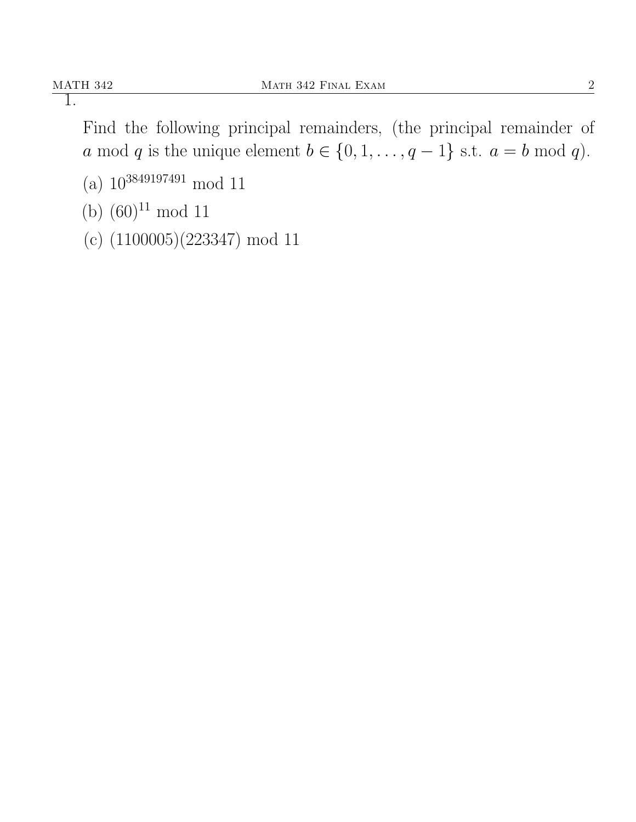Find the following principal remainders, (the principal remainder of *a* mod *q* is the unique element *b* ∈ {0, 1, . . . , *q* − 1} s.t. *a* = *b* mod *q*).

- (a) 10<sup>3849197491</sup> mod 11
- (b)  $(60)^{11}$  mod 11
- (c) (1100005)(223347) mod 11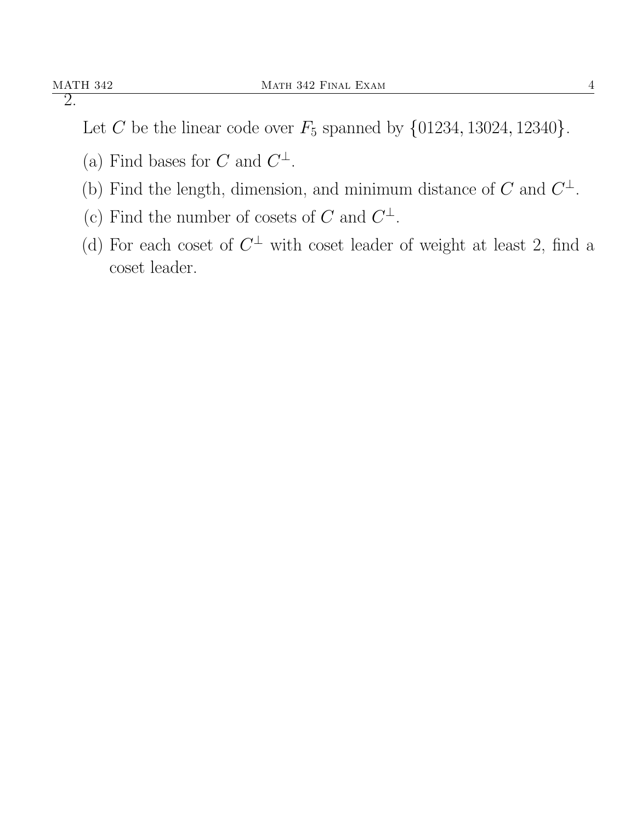Let *C* be the linear code over  $F_5$  spanned by  $\{01234, 13024, 12340\}.$ 

- (a) Find bases for *C* and  $C^{\perp}$ .
- (b) Find the length, dimension, and minimum distance of  $C$  and  $C^{\perp}$ .
- (c) Find the number of cosets of *C* and  $C^{\perp}$ .
- (d) For each coset of  $C^{\perp}$  with coset leader of weight at least 2, find a coset leader.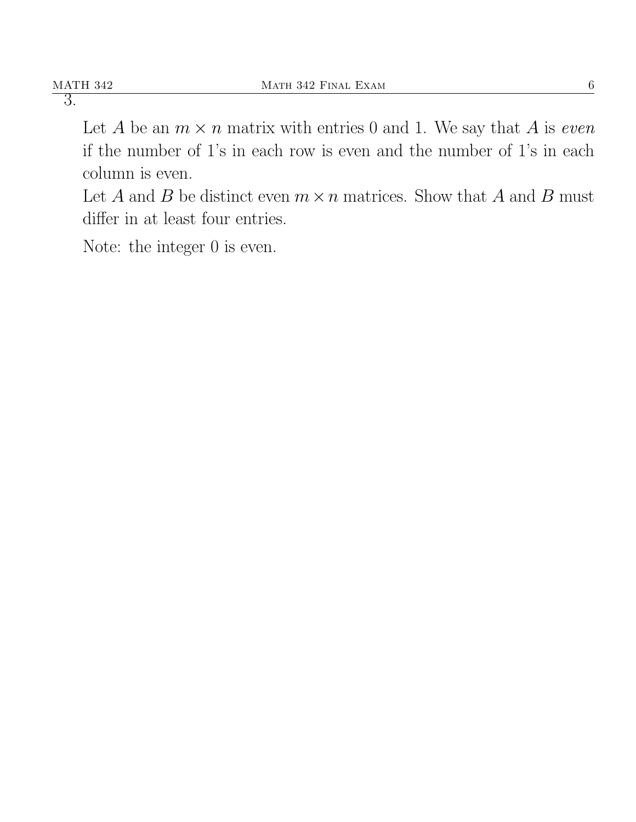Let *A* be an  $m \times n$  matrix with entries 0 and 1. We say that *A* is *even* if the number of 1's in each row is even and the number of 1's in each column is even.

Let *A* and *B* be distinct even  $m \times n$  matrices. Show that *A* and *B* must differ in at least four entries.

Note: the integer 0 is even.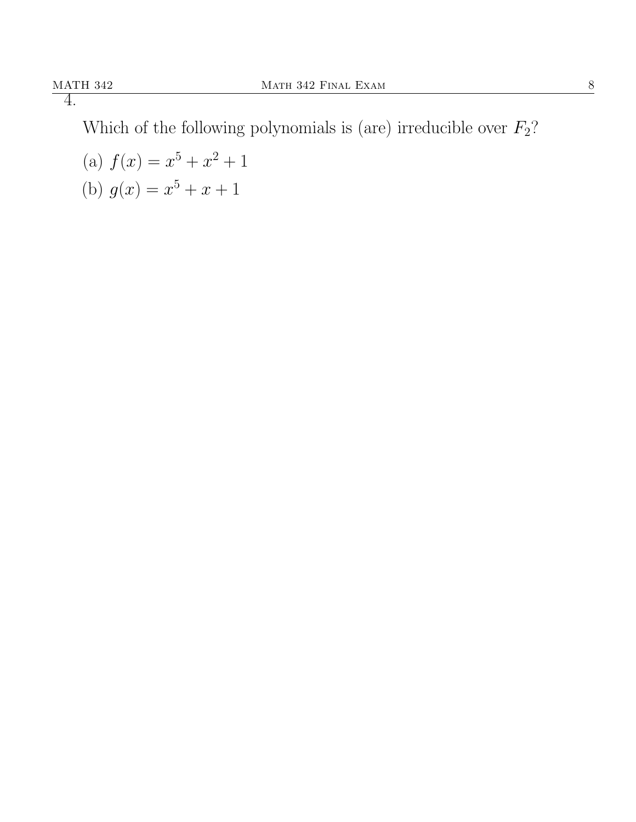Which of the following polynomials is (are) irreducible over  $F_2$ ?

(a)  $f(x) = x^5 + x^2 + 1$ (b)  $g(x) = x^5 + x + 1$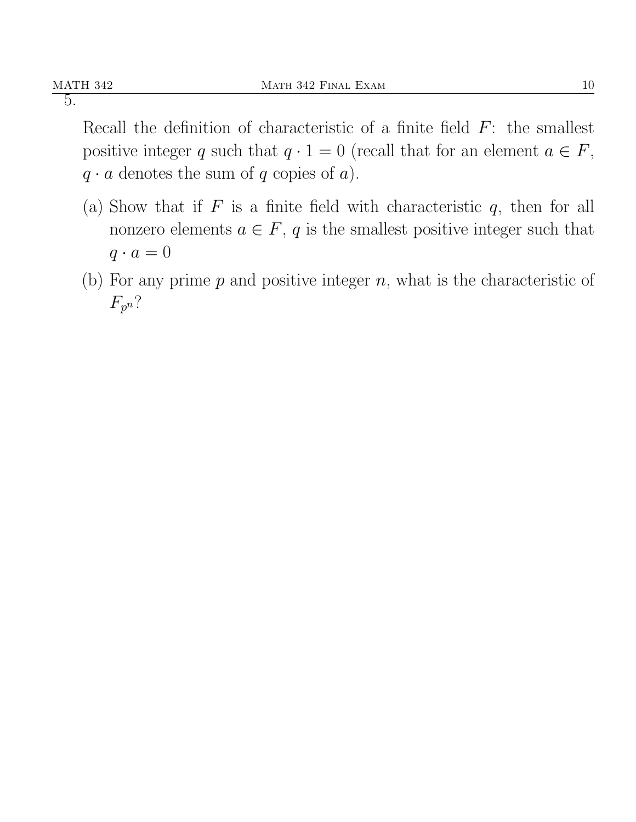Recall the definition of characteristic of a finite field *F*: the smallest positive integer *q* such that  $q \cdot 1 = 0$  (recall that for an element  $a \in F$ ,  $q \cdot a$  denotes the sum of  $q$  copies of  $a$ ).

- (a) Show that if *F* is a finite field with characteristic *q*, then for all nonzero elements  $a \in F$ ,  $q$  is the smallest positive integer such that  $q \cdot a = 0$
- (b) For any prime *p* and positive integer *n*, what is the characteristic of *Fp n*?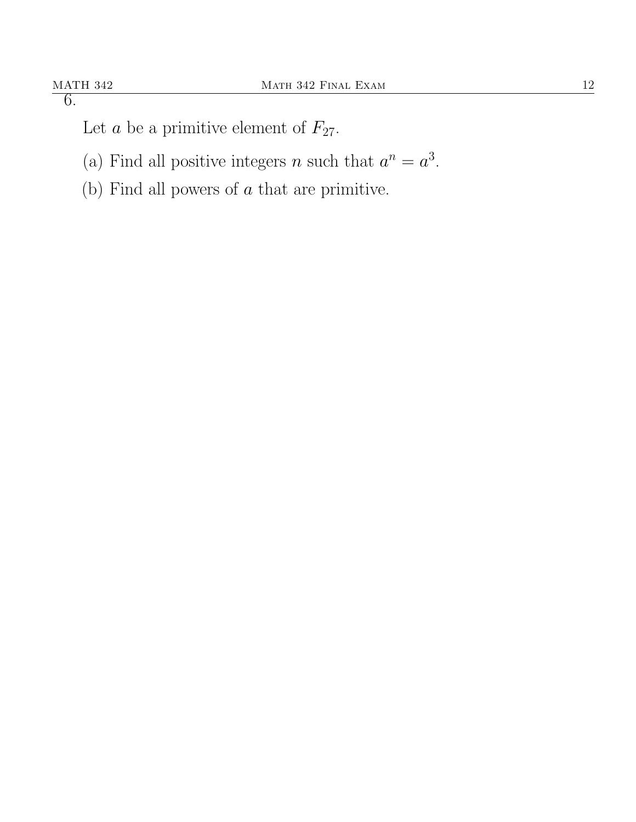Let *a* be a primitive element of  $F_{27}$ .

- (a) Find all positive integers *n* such that  $a^n = a^3$ .
- (b) Find all powers of *a* that are primitive.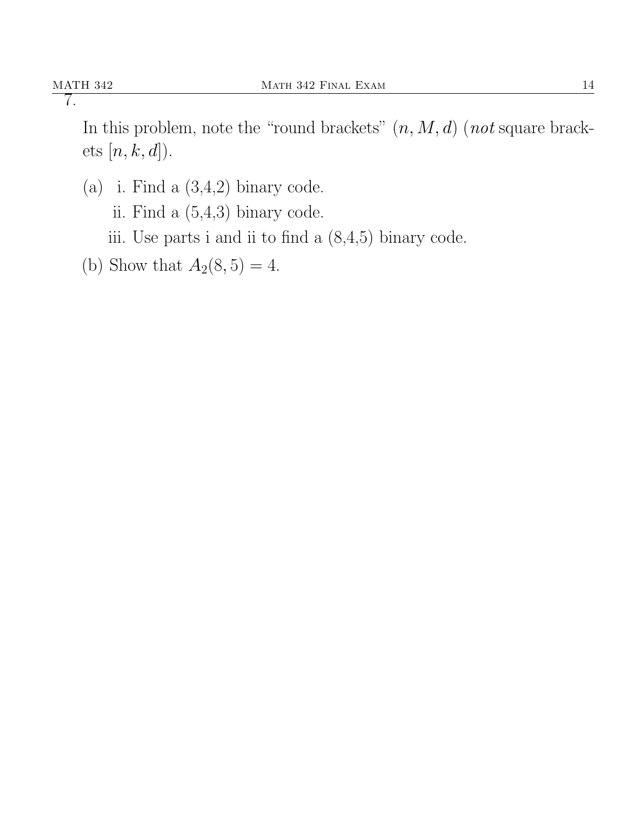In this problem, note the "round brackets" (*n, M, d*) (*not* square brackets [*n, k, d*]).

- (a) i. Find a  $(3,4,2)$  binary code.
	- ii. Find a (5,4,3) binary code.
	- iii. Use parts i and ii to find a (8,4,5) binary code.
- (b) Show that  $A_2(8, 5) = 4$ .